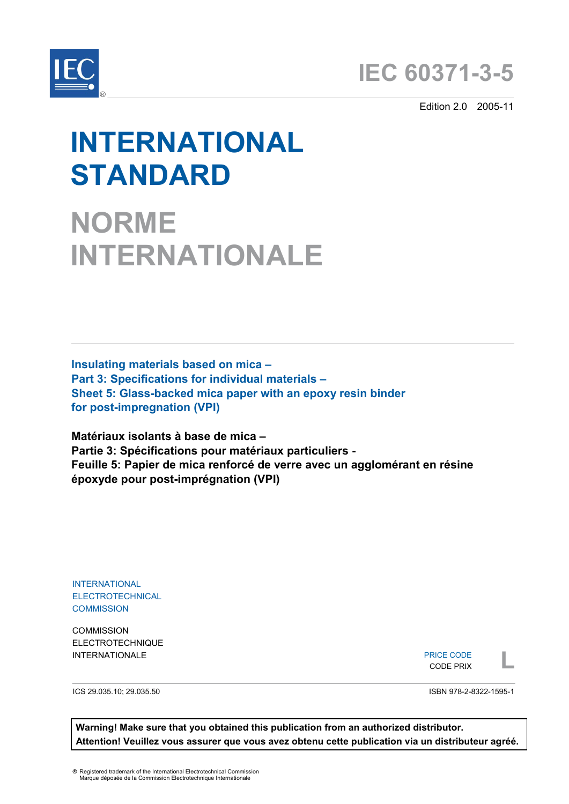



Edition 2.0 2005-11

# **INTERNATIONAL STANDARD**

**NORME INTERNATIONALE**

**Insulating materials based on mica – Part 3: Specifications for individual materials – Sheet 5: Glass-backed mica paper with an epoxy resin binder for post-impregnation (VPI)**

**Matériaux isolants à base de mica – Partie 3: Spécifications pour matériaux particuliers - Feuille 5: Papier de mica renforcé de verre avec un agglomérant en résine époxyde pour post-imprégnation (VPI)**

INTERNATIONAL **ELECTROTECHNICAL COMMISSION** 

**COMMISSION** ELECTROTECHNIQUE

INTERNATIONALE PRICE CODE PRIX PRICE CODE CODE PRIX

ICS 29.035.10; 29.035.50

ISBN 978-2-8322-1595-1

**Warning! Make sure that you obtained this publication from an authorized distributor. Attention! Veuillez vous assurer que vous avez obtenu cette publication via un distributeur agréé.**

® Registered trademark of the International Electrotechnical Commission Marque déposée de la Commission Electrotechnique Internationale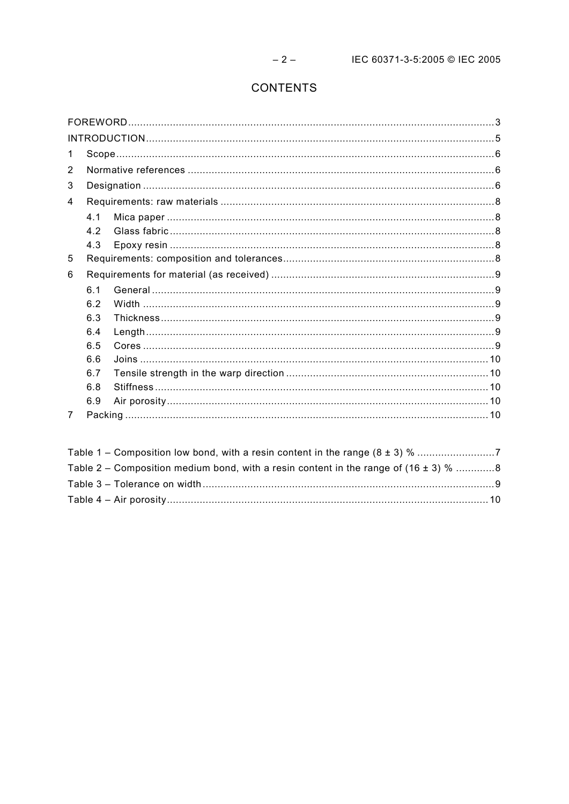# CONTENTS

| 1 |     |  |  |  |  |
|---|-----|--|--|--|--|
| 2 |     |  |  |  |  |
| 3 |     |  |  |  |  |
| 4 |     |  |  |  |  |
|   | 4.1 |  |  |  |  |
|   | 4.2 |  |  |  |  |
|   | 4.3 |  |  |  |  |
| 5 |     |  |  |  |  |
| 6 |     |  |  |  |  |
|   | 6.1 |  |  |  |  |
|   | 6.2 |  |  |  |  |
|   | 6.3 |  |  |  |  |
|   | 6.4 |  |  |  |  |
|   | 6.5 |  |  |  |  |
|   | 6.6 |  |  |  |  |
|   | 6.7 |  |  |  |  |
|   | 6.8 |  |  |  |  |
|   | 6.9 |  |  |  |  |
| 7 |     |  |  |  |  |

| Table 2 – Composition medium bond, with a resin content in the range of (16 $\pm$ 3) % 8 |  |
|------------------------------------------------------------------------------------------|--|
|                                                                                          |  |
|                                                                                          |  |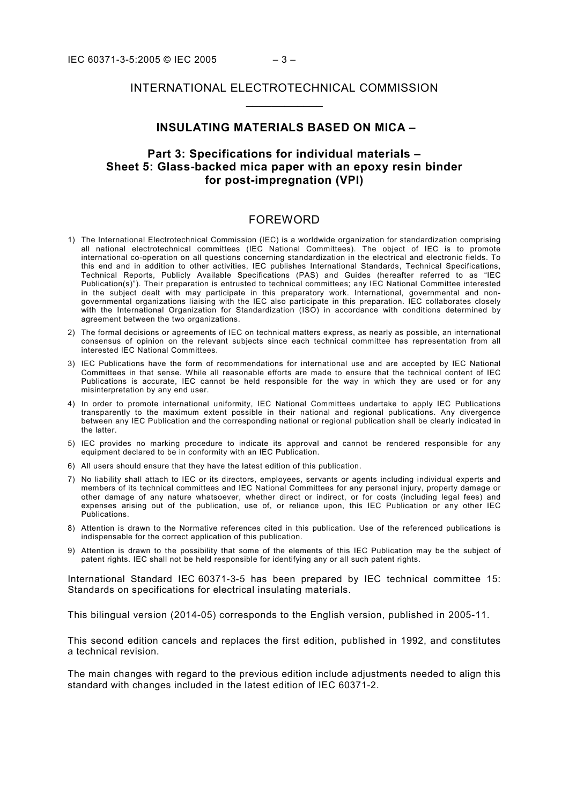## INTERNATIONAL ELECTROTECHNICAL COMMISSION \_\_\_\_\_\_\_\_\_\_\_\_

## **INSULATING MATERIALS BASED ON MICA –**

# **Part 3: Specifications for individual materials – Sheet 5: Glass-backed mica paper with an epoxy resin binder for post-impregnation (VPI)**

## FOREWORD

- 1) The International Electrotechnical Commission (IEC) is a worldwide organization for standardization comprising all national electrotechnical committees (IEC National Committees). The object of IEC is to promote international co-operation on all questions concerning standardization in the electrical and electronic fields. To this end and in addition to other activities, IEC publishes International Standards, Technical Specifications, Technical Reports, Publicly Available Specifications (PAS) and Guides (hereafter referred to as "IEC Publication(s)"). Their preparation is entrusted to technical committees; any IEC National Committee interested in the subject dealt with may participate in this preparatory work. International, governmental and nongovernmental organizations liaising with the IEC also participate in this preparation. IEC collaborates closely with the International Organization for Standardization (ISO) in accordance with conditions determined by agreement between the two organizations.
- 2) The formal decisions or agreements of IEC on technical matters express, as nearly as possible, an international consensus of opinion on the relevant subjects since each technical committee has representation from all interested IEC National Committees.
- 3) IEC Publications have the form of recommendations for international use and are accepted by IEC National Committees in that sense. While all reasonable efforts are made to ensure that the technical content of IEC Publications is accurate, IEC cannot be held responsible for the way in which they are used or for any misinterpretation by any end user.
- 4) In order to promote international uniformity, IEC National Committees undertake to apply IEC Publications transparently to the maximum extent possible in their national and regional publications. Any divergence between any IEC Publication and the corresponding national or regional publication shall be clearly indicated in the latter.
- 5) IEC provides no marking procedure to indicate its approval and cannot be rendered responsible for any equipment declared to be in conformity with an IEC Publication.
- 6) All users should ensure that they have the latest edition of this publication.
- 7) No liability shall attach to IEC or its directors, employees, servants or agents including individual experts and members of its technical committees and IEC National Committees for any personal injury, property damage or other damage of any nature whatsoever, whether direct or indirect, or for costs (including legal fees) and expenses arising out of the publication, use of, or reliance upon, this IEC Publication or any other IEC Publications.
- 8) Attention is drawn to the Normative references cited in this publication. Use of the referenced publications is indispensable for the correct application of this publication.
- 9) Attention is drawn to the possibility that some of the elements of this IEC Publication may be the subject of patent rights. IEC shall not be held responsible for identifying any or all such patent rights.

International Standard IEC 60371-3-5 has been prepared by IEC technical committee 15: Standards on specifications for electrical insulating materials.

This bilingual version (2014-05) corresponds to the English version, published in 2005-11.

This second edition cancels and replaces the first edition, published in 1992, and constitutes a technical revision.

The main changes with regard to the previous edition include adjustments needed to align this standard with changes included in the latest edition of IEC 60371-2.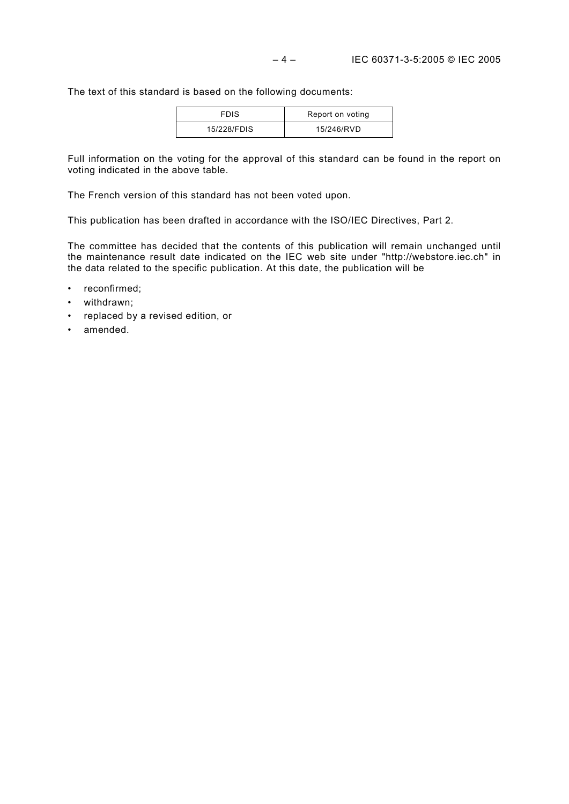The text of this standard is based on the following documents:

| <b>FDIS</b> | Report on voting |
|-------------|------------------|
| 15/228/FDIS | 15/246/RVD       |

Full information on the voting for the approval of this standard can be found in the report on voting indicated in the above table.

The French version of this standard has not been voted upon.

This publication has been drafted in accordance with the ISO/IEC Directives, Part 2.

The committee has decided that the contents of this publication will remain unchanged until the maintenance result date indicated on the IEC web site under "http://webstore.iec.ch" in the data related to the specific publication. At this date, the publication will be

- reconfirmed;
- withdrawn;
- replaced by a revised edition, or
- amended.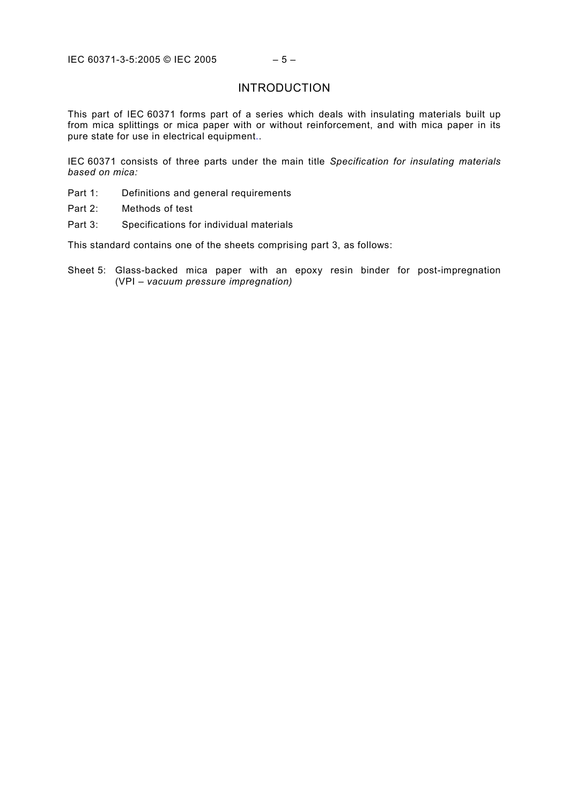# INTRODUCTION

This part of IEC 60371 forms part of a series which deals with insulating materials built up from mica splittings or mica paper with or without reinforcement, and with mica paper in its pure state for use in electrical equipment..

IEC 60371 consists of three parts under the main title *Specification for insulating materials based on mica:*

- Part 1: Definitions and general requirements
- Part 2: Methods of test
- Part 3: Specifications for individual materials

This standard contains one of the sheets comprising part 3, as follows:

Sheet 5: Glass-backed mica paper with an epoxy resin binder for post-impregnation (VPI – *vacuum pressure impregnation)*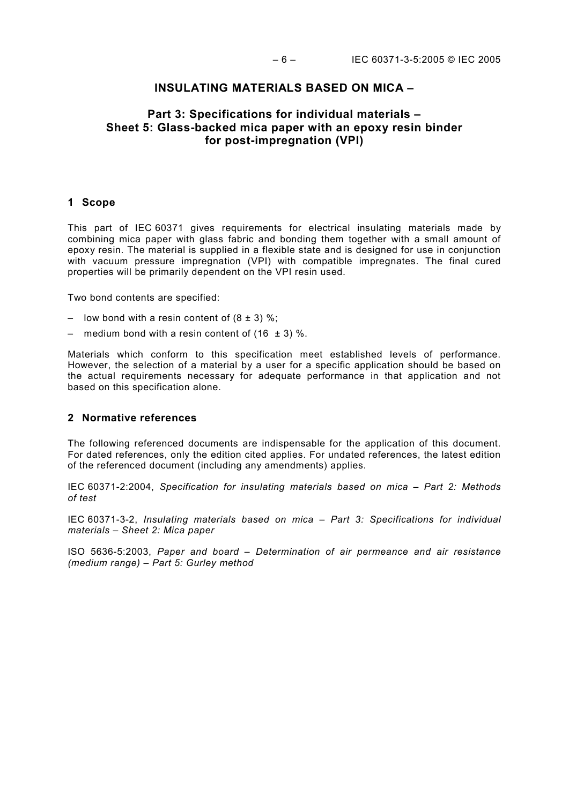## **INSULATING MATERIALS BASED ON MICA –**

## **Part 3: Specifications for individual materials – Sheet 5: Glass-backed mica paper with an epoxy resin binder for post-impregnation (VPI)**

## **1 Scope**

This part of IEC 60371 gives requirements for electrical insulating materials made by combining mica paper with glass fabric and bonding them together with a small amount of epoxy resin. The material is supplied in a flexible state and is designed for use in conjunction with vacuum pressure impregnation (VPI) with compatible impregnates. The final cured properties will be primarily dependent on the VPI resin used.

Two bond contents are specified:

- low bond with a resin content of  $(8 \pm 3)$  %;
- medium bond with a resin content of  $(16 \pm 3)$  %.

Materials which conform to this specification meet established levels of performance. However, the selection of a material by a user for a specific application should be based on the actual requirements necessary for adequate performance in that application and not based on this specification alone.

#### **2 Normative references**

The following referenced documents are indispensable for the application of this document. For dated references, only the edition cited applies. For undated references, the latest edition of the referenced document (including any amendments) applies.

IEC 60371-2:2004, *Specification for insulating materials based on mica – Part 2: Methods of test*

IEC 60371-3-2, *Insulating materials based on mica – Part 3: Specifications for individual materials – Sheet 2: Mica paper*

ISO 5636-5:2003, *Paper and board – Determination of air permeance and air resistance (medium range) – Part 5: Gurley method*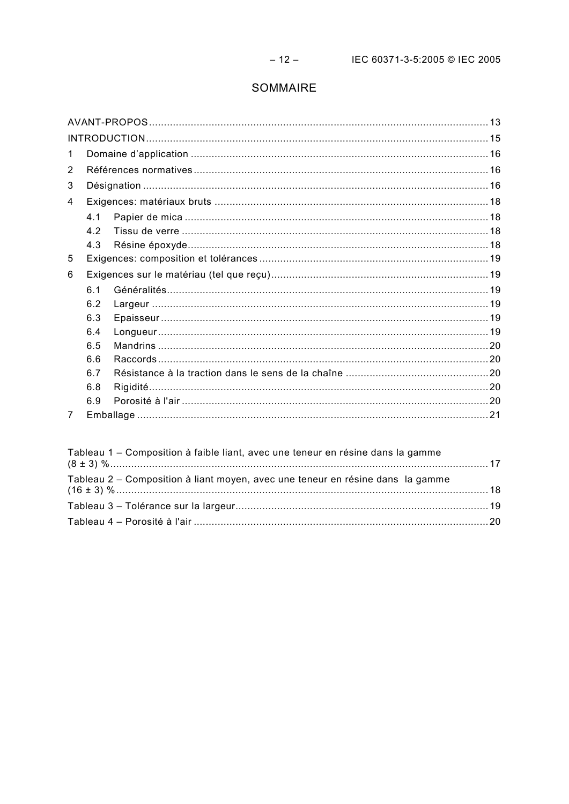# SOMMAIRE

| 1              |     |  |  |  |  |
|----------------|-----|--|--|--|--|
| 2              |     |  |  |  |  |
| 3              |     |  |  |  |  |
| 4              |     |  |  |  |  |
|                | 4.1 |  |  |  |  |
|                | 42  |  |  |  |  |
|                | 4.3 |  |  |  |  |
| 5              |     |  |  |  |  |
| 6              |     |  |  |  |  |
|                | 6.1 |  |  |  |  |
|                | 6.2 |  |  |  |  |
|                | 6.3 |  |  |  |  |
|                | 6.4 |  |  |  |  |
|                | 6.5 |  |  |  |  |
|                | 6.6 |  |  |  |  |
|                | 6.7 |  |  |  |  |
|                | 6.8 |  |  |  |  |
|                | 6.9 |  |  |  |  |
| $\overline{7}$ |     |  |  |  |  |

| Tableau 1 – Composition à faible liant, avec une teneur en résine dans la gamme |  |
|---------------------------------------------------------------------------------|--|
| Tableau 2 – Composition à liant moyen, avec une teneur en résine dans la gamme  |  |
|                                                                                 |  |
|                                                                                 |  |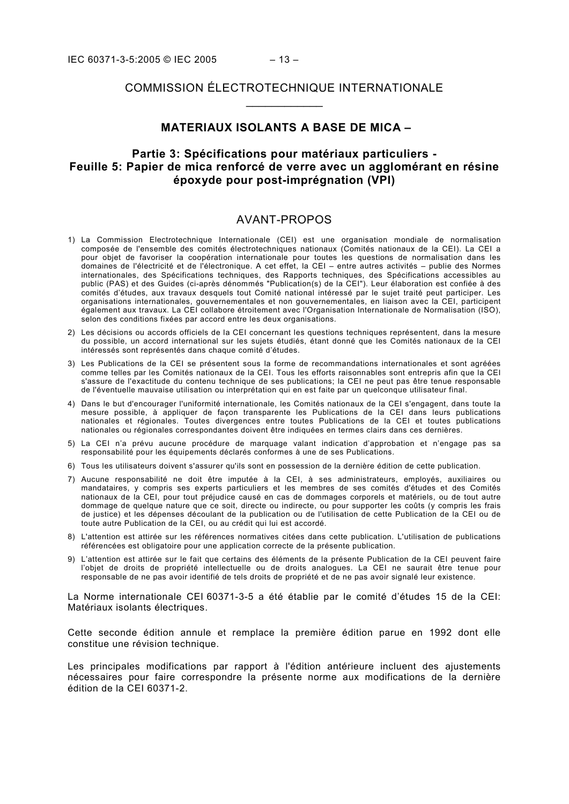# COMMISSION ÉLECTROTECHNIQUE INTERNATIONALE \_\_\_\_\_\_\_\_\_\_\_\_

## **MATERIAUX ISOLANTS A BASE DE MICA –**

# **Partie 3: Spécifications pour matériaux particuliers - Feuille 5: Papier de mica renforcé de verre avec un agglomérant en résine époxyde pour post-imprégnation (VPI)**

## AVANT-PROPOS

- 1) La Commission Electrotechnique Internationale (CEI) est une organisation mondiale de normalisation composée de l'ensemble des comités électrotechniques nationaux (Comités nationaux de la CEI). La CEI a pour objet de favoriser la coopération internationale pour toutes les questions de normalisation dans les domaines de l'électricité et de l'électronique. A cet effet, la CEI – entre autres activités – publie des Normes internationales, des Spécifications techniques, des Rapports techniques, des Spécifications accessibles au public (PAS) et des Guides (ci-après dénommés "Publication(s) de la CEI"). Leur élaboration est confiée à des comités d'études, aux travaux desquels tout Comité national intéressé par le sujet traité peut participer. Les organisations internationales, gouvernementales et non gouvernementales, en liaison avec la CEI, participent également aux travaux. La CEI collabore étroitement avec l'Organisation Internationale de Normalisation (ISO), selon des conditions fixées par accord entre les deux organisations.
- 2) Les décisions ou accords officiels de la CEI concernant les questions techniques représentent, dans la mesure du possible, un accord international sur les sujets étudiés, étant donné que les Comités nationaux de la CEI intéressés sont représentés dans chaque comité d'études.
- 3) Les Publications de la CEI se présentent sous la forme de recommandations internationales et sont agréées comme telles par les Comités nationaux de la CEI. Tous les efforts raisonnables sont entrepris afin que la CEI s'assure de l'exactitude du contenu technique de ses publications; la CEI ne peut pas être tenue responsable de l'éventuelle mauvaise utilisation ou interprétation qui en est faite par un quelconque utilisateur final.
- 4) Dans le but d'encourager l'uniformité internationale, les Comités nationaux de la CEI s'engagent, dans toute la mesure possible, à appliquer de façon transparente les Publications de la CEI dans leurs publications nationales et régionales. Toutes divergences entre toutes Publications de la CEI et toutes publications nationales ou régionales correspondantes doivent être indiquées en termes clairs dans ces dernières.
- 5) La CEI n'a prévu aucune procédure de marquage valant indication d'approbation et n'engage pas sa responsabilité pour les équipements déclarés conformes à une de ses Publications.
- 6) Tous les utilisateurs doivent s'assurer qu'ils sont en possession de la dernière édition de cette publication.
- 7) Aucune responsabilité ne doit être imputée à la CEI, à ses administrateurs, employés, auxiliaires ou mandataires, y compris ses experts particuliers et les membres de ses comités d'études et des Comités nationaux de la CEI, pour tout préjudice causé en cas de dommages corporels et matériels, ou de tout autre dommage de quelque nature que ce soit, directe ou indirecte, ou pour supporter les coûts (y compris les frais de justice) et les dépenses découlant de la publication ou de l'utilisation de cette Publication de la CEI ou de toute autre Publication de la CEI, ou au crédit qui lui est accordé.
- 8) L'attention est attirée sur les références normatives citées dans cette publication. L'utilisation de publications référencées est obligatoire pour une application correcte de la présente publication.
- 9) L'attention est attirée sur le fait que certains des éléments de la présente Publication de la CEI peuvent faire l'objet de droits de propriété intellectuelle ou de droits analogues. La CEI ne saurait être tenue pour responsable de ne pas avoir identifié de tels droits de propriété et de ne pas avoir signalé leur existence.

La Norme internationale CEI 60371-3-5 a été établie par le comité d'études 15 de la CEI: Matériaux isolants électriques.

Cette seconde édition annule et remplace la première édition parue en 1992 dont elle constitue une révision technique.

Les principales modifications par rapport à l'édition antérieure incluent des ajustements nécessaires pour faire correspondre la présente norme aux modifications de la dernière édition de la CEI 60371-2.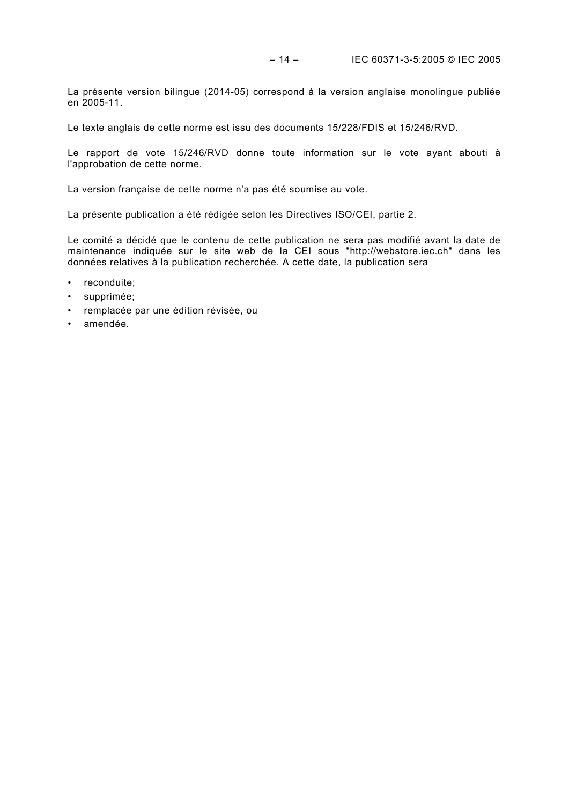La présente version bilingue (2014-05) correspond à la version anglaise monolingue publiée en 2005-11.

Le texte anglais de cette norme est issu des documents 15/228/FDIS et 15/246/RVD.

Le rapport de vote 15/246/RVD donne toute information sur le vote ayant abouti à l'approbation de cette norme.

La version française de cette norme n'a pas été soumise au vote.

La présente publication a été rédigée selon les Directives ISO/CEI, partie 2.

Le comité a décidé que le contenu de cette publication ne sera pas modifié avant la date de maintenance indiquée sur le site web de la CEI sous "http://webstore.iec.ch" dans les données relatives à la publication recherchée. A cette date, la publication sera

- reconduite;
- supprimée;
- remplacée par une édition révisée, ou
- amendée.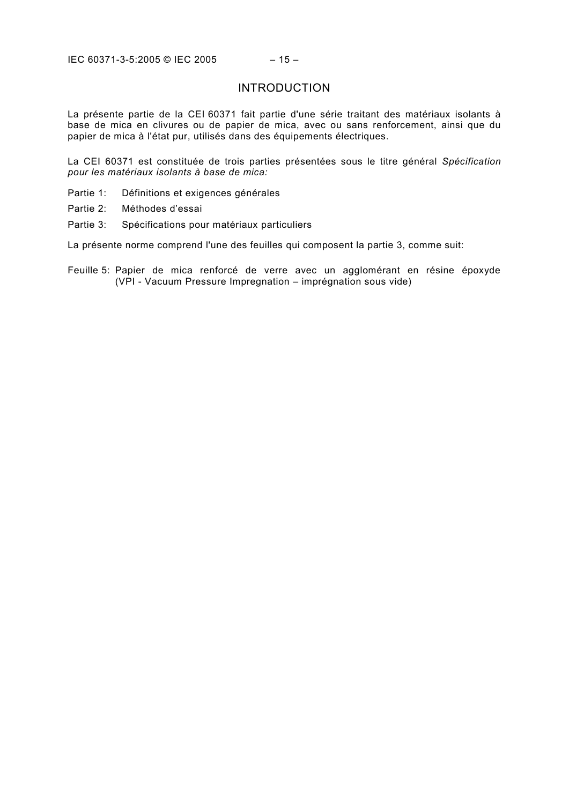## INTRODUCTION

La présente partie de la CEI 60371 fait partie d'une série traitant des matériaux isolants à base de mica en clivures ou de papier de mica, avec ou sans renforcement, ainsi que du papier de mica à l'état pur, utilisés dans des équipements électriques.

La CEI 60371 est constituée de trois parties présentées sous le titre général *Spécification pour les matériaux isolants à base de mica:*

- Partie 1: Définitions et exigences générales
- Partie 2: Méthodes d'essai
- Partie 3: Spécifications pour matériaux particuliers

La présente norme comprend l'une des feuilles qui composent la partie 3, comme suit:

Feuille 5: Papier de mica renforcé de verre avec un agglomérant en résine époxyde (VPI - Vacuum Pressure Impregnation – imprégnation sous vide)